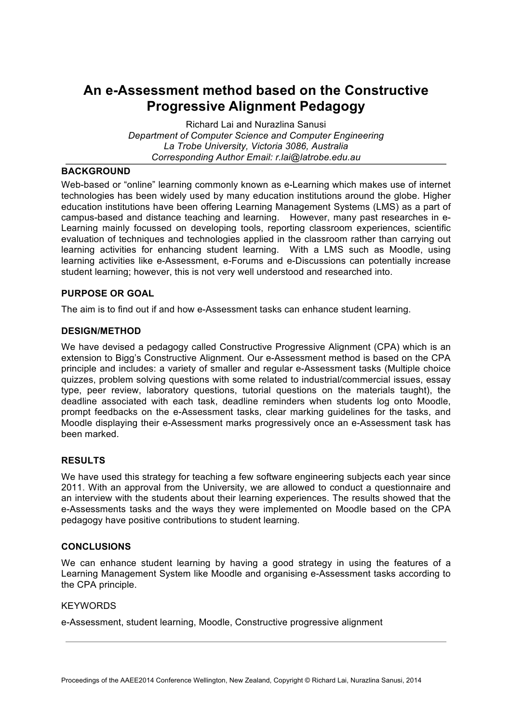# **An e-Assessment method based on the Constructive Progressive Alignment Pedagogy**

Richard Lai and Nurazlina Sanusi *Department of Computer Science and Computer Engineering La Trobe University, Victoria 3086, Australia Corresponding Author Email: r.lai@latrobe.edu.au*

## **BACKGROUND**

Web-based or "online" learning commonly known as e-Learning which makes use of internet technologies has been widely used by many education institutions around the globe. Higher education institutions have been offering Learning Management Systems (LMS) as a part of campus-based and distance teaching and learning. However, many past researches in e-Learning mainly focussed on developing tools, reporting classroom experiences, scientific evaluation of techniques and technologies applied in the classroom rather than carrying out learning activities for enhancing student learning. With a LMS such as Moodle, using learning activities like e-Assessment, e-Forums and e-Discussions can potentially increase student learning; however, this is not very well understood and researched into.

## **PURPOSE OR GOAL**

The aim is to find out if and how e-Assessment tasks can enhance student learning.

# **DESIGN/METHOD**

We have devised a pedagogy called Constructive Progressive Alignment (CPA) which is an extension to Bigg's Constructive Alignment. Our e-Assessment method is based on the CPA principle and includes: a variety of smaller and regular e-Assessment tasks (Multiple choice quizzes, problem solving questions with some related to industrial/commercial issues, essay type, peer review, laboratory questions, tutorial questions on the materials taught), the deadline associated with each task, deadline reminders when students log onto Moodle, prompt feedbacks on the e-Assessment tasks, clear marking guidelines for the tasks, and Moodle displaying their e-Assessment marks progressively once an e-Assessment task has been marked.

# **RESULTS**

We have used this strategy for teaching a few software engineering subjects each year since 2011. With an approval from the University, we are allowed to conduct a questionnaire and an interview with the students about their learning experiences. The results showed that the e-Assessments tasks and the ways they were implemented on Moodle based on the CPA pedagogy have positive contributions to student learning.

#### **CONCLUSIONS**

We can enhance student learning by having a good strategy in using the features of a Learning Management System like Moodle and organising e-Assessment tasks according to the CPA principle.

#### **KEYWORDS**

e-Assessment, student learning, Moodle, Constructive progressive alignment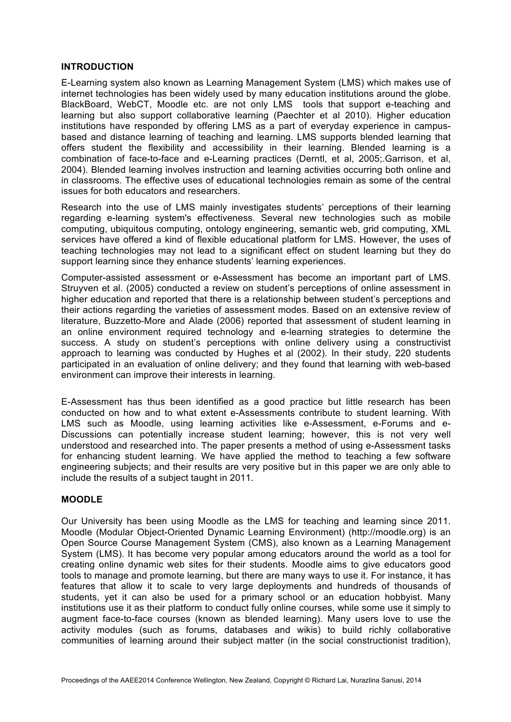#### **INTRODUCTION**

E-Learning system also known as Learning Management System (LMS) which makes use of internet technologies has been widely used by many education institutions around the globe. BlackBoard, WebCT, Moodle etc. are not only LMS tools that support e-teaching and learning but also support collaborative learning (Paechter et al 2010). Higher education institutions have responded by offering LMS as a part of everyday experience in campusbased and distance learning of teaching and learning. LMS supports blended learning that offers student the flexibility and accessibility in their learning. Blended learning is a combination of face-to-face and e-Learning practices (Derntl, et al, 2005;.Garrison, et al, 2004). Blended learning involves instruction and learning activities occurring both online and in classrooms. The effective uses of educational technologies remain as some of the central issues for both educators and researchers.

Research into the use of LMS mainly investigates students' perceptions of their learning regarding e-learning system's effectiveness. Several new technologies such as mobile computing, ubiquitous computing, ontology engineering, semantic web, grid computing, XML services have offered a kind of flexible educational platform for LMS. However, the uses of teaching technologies may not lead to a significant effect on student learning but they do support learning since they enhance students' learning experiences.

Computer-assisted assessment or e-Assessment has become an important part of LMS. Struyven et al. (2005) conducted a review on student's perceptions of online assessment in higher education and reported that there is a relationship between student's perceptions and their actions regarding the varieties of assessment modes. Based on an extensive review of literature, Buzzetto-More and Alade (2006) reported that assessment of student learning in an online environment required technology and e-learning strategies to determine the success. A study on student's perceptions with online delivery using a constructivist approach to learning was conducted by Hughes et al (2002). In their study, 220 students participated in an evaluation of online delivery; and they found that learning with web-based environment can improve their interests in learning.

E-Assessment has thus been identified as a good practice but little research has been conducted on how and to what extent e-Assessments contribute to student learning. With LMS such as Moodle, using learning activities like e-Assessment, e-Forums and e-Discussions can potentially increase student learning; however, this is not very well understood and researched into. The paper presents a method of using e-Assessment tasks for enhancing student learning. We have applied the method to teaching a few software engineering subjects; and their results are very positive but in this paper we are only able to include the results of a subject taught in 2011.

# **MOODLE**

Our University has been using Moodle as the LMS for teaching and learning since 2011. Moodle (Modular Object-Oriented Dynamic Learning Environment) (http://moodle.org) is an Open Source Course Management System (CMS), also known as a Learning Management System (LMS). It has become very popular among educators around the world as a tool for creating online dynamic web sites for their students. Moodle aims to give educators good tools to manage and promote learning, but there are many ways to use it. For instance, it has features that allow it to scale to very large deployments and hundreds of thousands of students, yet it can also be used for a primary school or an education hobbyist. Many institutions use it as their platform to conduct fully online courses, while some use it simply to augment face-to-face courses (known as blended learning). Many users love to use the activity modules (such as forums, databases and wikis) to build richly collaborative communities of learning around their subject matter (in the social constructionist tradition),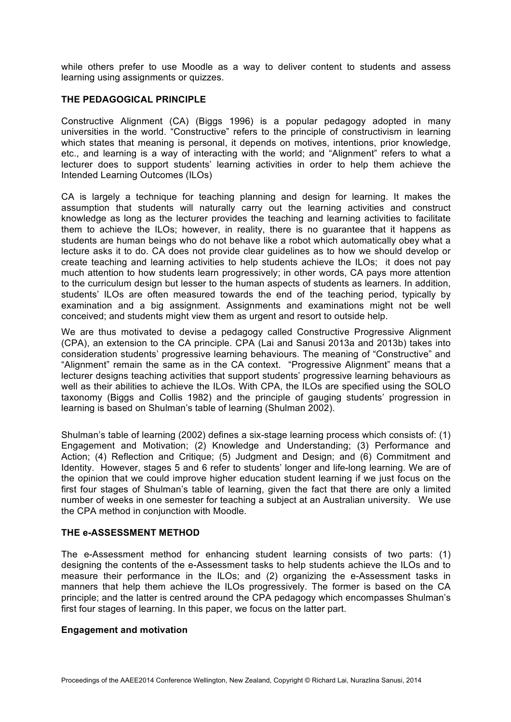while others prefer to use Moodle as a way to deliver content to students and assess learning using assignments or quizzes.

## **THE PEDAGOGICAL PRINCIPLE**

Constructive Alignment (CA) (Biggs 1996) is a popular pedagogy adopted in many universities in the world. "Constructive" refers to the principle of constructivism in learning which states that meaning is personal, it depends on motives, intentions, prior knowledge, etc., and learning is a way of interacting with the world; and "Alignment" refers to what a lecturer does to support students' learning activities in order to help them achieve the Intended Learning Outcomes (ILOs)

CA is largely a technique for teaching planning and design for learning. It makes the assumption that students will naturally carry out the learning activities and construct knowledge as long as the lecturer provides the teaching and learning activities to facilitate them to achieve the ILOs; however, in reality, there is no guarantee that it happens as students are human beings who do not behave like a robot which automatically obey what a lecture asks it to do. CA does not provide clear guidelines as to how we should develop or create teaching and learning activities to help students achieve the ILOs; it does not pay much attention to how students learn progressively; in other words, CA pays more attention to the curriculum design but lesser to the human aspects of students as learners. In addition, students' ILOs are often measured towards the end of the teaching period, typically by examination and a big assignment. Assignments and examinations might not be well conceived; and students might view them as urgent and resort to outside help.

We are thus motivated to devise a pedagogy called Constructive Progressive Alignment (CPA), an extension to the CA principle. CPA (Lai and Sanusi 2013a and 2013b) takes into consideration students' progressive learning behaviours. The meaning of "Constructive" and "Alignment" remain the same as in the CA context. "Progressive Alignment" means that a lecturer designs teaching activities that support students' progressive learning behaviours as well as their abilities to achieve the ILOs. With CPA, the ILOs are specified using the SOLO taxonomy (Biggs and Collis 1982) and the principle of gauging students' progression in learning is based on Shulman's table of learning (Shulman 2002).

Shulman's table of learning (2002) defines a six-stage learning process which consists of: (1) Engagement and Motivation; (2) Knowledge and Understanding; (3) Performance and Action; (4) Reflection and Critique; (5) Judgment and Design; and (6) Commitment and Identity. However, stages 5 and 6 refer to students' longer and life-long learning. We are of the opinion that we could improve higher education student learning if we just focus on the first four stages of Shulman's table of learning, given the fact that there are only a limited number of weeks in one semester for teaching a subject at an Australian university. We use the CPA method in conjunction with Moodle.

#### **THE e-ASSESSMENT METHOD**

The e-Assessment method for enhancing student learning consists of two parts: (1) designing the contents of the e-Assessment tasks to help students achieve the ILOs and to measure their performance in the ILOs; and (2) organizing the e-Assessment tasks in manners that help them achieve the ILOs progressively. The former is based on the CA principle; and the latter is centred around the CPA pedagogy which encompasses Shulman's first four stages of learning. In this paper, we focus on the latter part.

#### **Engagement and motivation**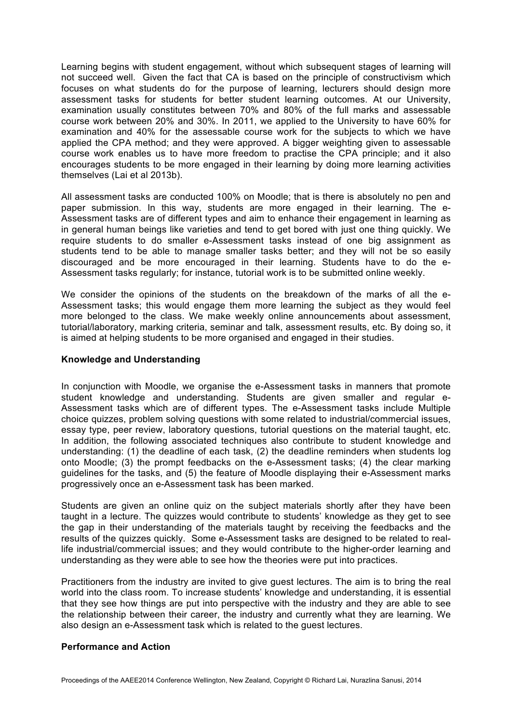Learning begins with student engagement, without which subsequent stages of learning will not succeed well. Given the fact that CA is based on the principle of constructivism which focuses on what students do for the purpose of learning, lecturers should design more assessment tasks for students for better student learning outcomes. At our University, examination usually constitutes between 70% and 80% of the full marks and assessable course work between 20% and 30%. In 2011, we applied to the University to have 60% for examination and 40% for the assessable course work for the subjects to which we have applied the CPA method; and they were approved. A bigger weighting given to assessable course work enables us to have more freedom to practise the CPA principle; and it also encourages students to be more engaged in their learning by doing more learning activities themselves (Lai et al 2013b).

All assessment tasks are conducted 100% on Moodle; that is there is absolutely no pen and paper submission. In this way, students are more engaged in their learning. The e-Assessment tasks are of different types and aim to enhance their engagement in learning as in general human beings like varieties and tend to get bored with just one thing quickly. We require students to do smaller e-Assessment tasks instead of one big assignment as students tend to be able to manage smaller tasks better; and they will not be so easily discouraged and be more encouraged in their learning. Students have to do the e-Assessment tasks regularly; for instance, tutorial work is to be submitted online weekly.

We consider the opinions of the students on the breakdown of the marks of all the e-Assessment tasks; this would engage them more learning the subject as they would feel more belonged to the class. We make weekly online announcements about assessment, tutorial/laboratory, marking criteria, seminar and talk, assessment results, etc. By doing so, it is aimed at helping students to be more organised and engaged in their studies.

## **Knowledge and Understanding**

In conjunction with Moodle, we organise the e-Assessment tasks in manners that promote student knowledge and understanding. Students are given smaller and regular e-Assessment tasks which are of different types. The e-Assessment tasks include Multiple choice quizzes, problem solving questions with some related to industrial/commercial issues, essay type, peer review, laboratory questions, tutorial questions on the material taught, etc. In addition, the following associated techniques also contribute to student knowledge and understanding: (1) the deadline of each task, (2) the deadline reminders when students log onto Moodle; (3) the prompt feedbacks on the e-Assessment tasks; (4) the clear marking guidelines for the tasks, and (5) the feature of Moodle displaying their e-Assessment marks progressively once an e-Assessment task has been marked.

Students are given an online quiz on the subject materials shortly after they have been taught in a lecture. The quizzes would contribute to students' knowledge as they get to see the gap in their understanding of the materials taught by receiving the feedbacks and the results of the quizzes quickly. Some e-Assessment tasks are designed to be related to reallife industrial/commercial issues; and they would contribute to the higher-order learning and understanding as they were able to see how the theories were put into practices.

Practitioners from the industry are invited to give guest lectures. The aim is to bring the real world into the class room. To increase students' knowledge and understanding, it is essential that they see how things are put into perspective with the industry and they are able to see the relationship between their career, the industry and currently what they are learning. We also design an e-Assessment task which is related to the guest lectures.

# **Performance and Action**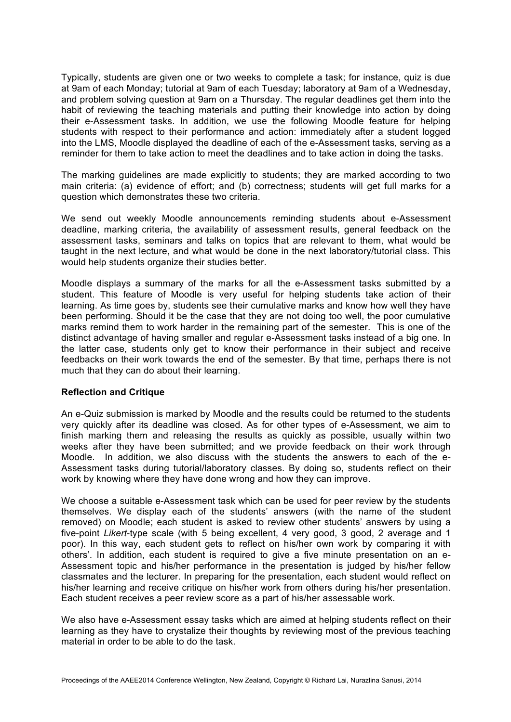Typically, students are given one or two weeks to complete a task; for instance, quiz is due at 9am of each Monday; tutorial at 9am of each Tuesday; laboratory at 9am of a Wednesday, and problem solving question at 9am on a Thursday. The regular deadlines get them into the habit of reviewing the teaching materials and putting their knowledge into action by doing their e-Assessment tasks. In addition, we use the following Moodle feature for helping students with respect to their performance and action: immediately after a student logged into the LMS, Moodle displayed the deadline of each of the e-Assessment tasks, serving as a reminder for them to take action to meet the deadlines and to take action in doing the tasks.

The marking guidelines are made explicitly to students; they are marked according to two main criteria: (a) evidence of effort; and (b) correctness; students will get full marks for a question which demonstrates these two criteria.

We send out weekly Moodle announcements reminding students about e-Assessment deadline, marking criteria, the availability of assessment results, general feedback on the assessment tasks, seminars and talks on topics that are relevant to them, what would be taught in the next lecture, and what would be done in the next laboratory/tutorial class. This would help students organize their studies better.

Moodle displays a summary of the marks for all the e-Assessment tasks submitted by a student. This feature of Moodle is very useful for helping students take action of their learning. As time goes by, students see their cumulative marks and know how well they have been performing. Should it be the case that they are not doing too well, the poor cumulative marks remind them to work harder in the remaining part of the semester. This is one of the distinct advantage of having smaller and regular e-Assessment tasks instead of a big one. In the latter case, students only get to know their performance in their subject and receive feedbacks on their work towards the end of the semester. By that time, perhaps there is not much that they can do about their learning.

#### **Reflection and Critique**

An e-Quiz submission is marked by Moodle and the results could be returned to the students very quickly after its deadline was closed. As for other types of e-Assessment, we aim to finish marking them and releasing the results as quickly as possible, usually within two weeks after they have been submitted; and we provide feedback on their work through Moodle. In addition, we also discuss with the students the answers to each of the e-Assessment tasks during tutorial/laboratory classes. By doing so, students reflect on their work by knowing where they have done wrong and how they can improve.

We choose a suitable e-Assessment task which can be used for peer review by the students themselves. We display each of the students' answers (with the name of the student removed) on Moodle; each student is asked to review other students' answers by using a five-point *Likert*-type scale (with 5 being excellent, 4 very good, 3 good, 2 average and 1 poor). In this way, each student gets to reflect on his/her own work by comparing it with others'. In addition, each student is required to give a five minute presentation on an e-Assessment topic and his/her performance in the presentation is judged by his/her fellow classmates and the lecturer. In preparing for the presentation, each student would reflect on his/her learning and receive critique on his/her work from others during his/her presentation. Each student receives a peer review score as a part of his/her assessable work.

We also have e-Assessment essay tasks which are aimed at helping students reflect on their learning as they have to crystalize their thoughts by reviewing most of the previous teaching material in order to be able to do the task.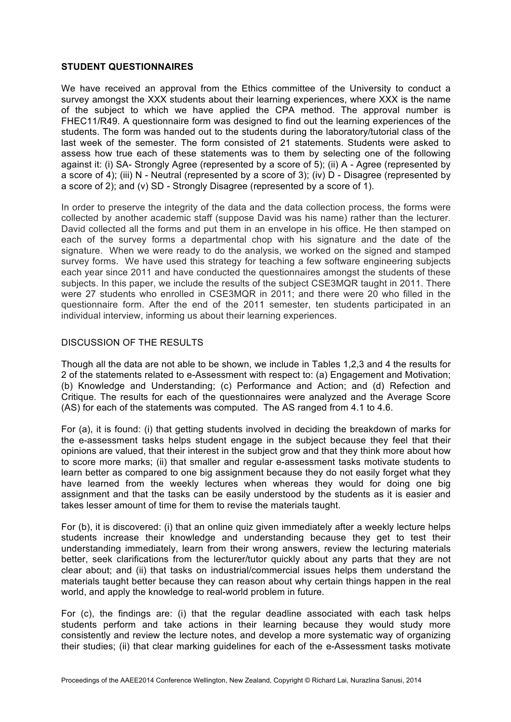## **STUDENT QUESTIONNAIRES**

We have received an approval from the Ethics committee of the University to conduct a survey amongst the XXX students about their learning experiences, where XXX is the name of the subject to which we have applied the CPA method. The approval number is FHEC11/R49. A questionnaire form was designed to find out the learning experiences of the students. The form was handed out to the students during the laboratory/tutorial class of the last week of the semester. The form consisted of 21 statements. Students were asked to assess how true each of these statements was to them by selecting one of the following against it: (i) SA- Strongly Agree (represented by a score of 5); (ii) A - Agree (represented by a score of 4); (iii) N - Neutral (represented by a score of 3); (iv) D - Disagree (represented by a score of 2); and (v) SD - Strongly Disagree (represented by a score of 1).

In order to preserve the integrity of the data and the data collection process, the forms were collected by another academic staff (suppose David was his name) rather than the lecturer. David collected all the forms and put them in an envelope in his office. He then stamped on each of the survey forms a departmental chop with his signature and the date of the signature. When we were ready to do the analysis, we worked on the signed and stamped survey forms. We have used this strategy for teaching a few software engineering subjects each year since 2011 and have conducted the questionnaires amongst the students of these subjects. In this paper, we include the results of the subject CSE3MQR taught in 2011. There were 27 students who enrolled in CSE3MQR in 2011; and there were 20 who filled in the questionnaire form. After the end of the 2011 semester, ten students participated in an individual interview, informing us about their learning experiences.

# DISCUSSION OF THE RESULTS

Though all the data are not able to be shown, we include in Tables 1,2,3 and 4 the results for 2 of the statements related to e-Assessment with respect to: (a) Engagement and Motivation; (b) Knowledge and Understanding; (c) Performance and Action; and (d) Refection and Critique. The results for each of the questionnaires were analyzed and the Average Score (AS) for each of the statements was computed. The AS ranged from 4.1 to 4.6.

For (a), it is found: (i) that getting students involved in deciding the breakdown of marks for the e-assessment tasks helps student engage in the subject because they feel that their opinions are valued, that their interest in the subject grow and that they think more about how to score more marks; (ii) that smaller and regular e-assessment tasks motivate students to learn better as compared to one big assignment because they do not easily forget what they have learned from the weekly lectures when whereas they would for doing one big assignment and that the tasks can be easily understood by the students as it is easier and takes lesser amount of time for them to revise the materials taught.

For (b), it is discovered: (i) that an online quiz given immediately after a weekly lecture helps students increase their knowledge and understanding because they get to test their understanding immediately, learn from their wrong answers, review the lecturing materials better, seek clarifications from the lecturer/tutor quickly about any parts that they are not clear about; and (ii) that tasks on industrial/commercial issues helps them understand the materials taught better because they can reason about why certain things happen in the real world, and apply the knowledge to real-world problem in future.

For (c), the findings are: (i) that the regular deadline associated with each task helps students perform and take actions in their learning because they would study more consistently and review the lecture notes, and develop a more systematic way of organizing their studies; (ii) that clear marking guidelines for each of the e-Assessment tasks motivate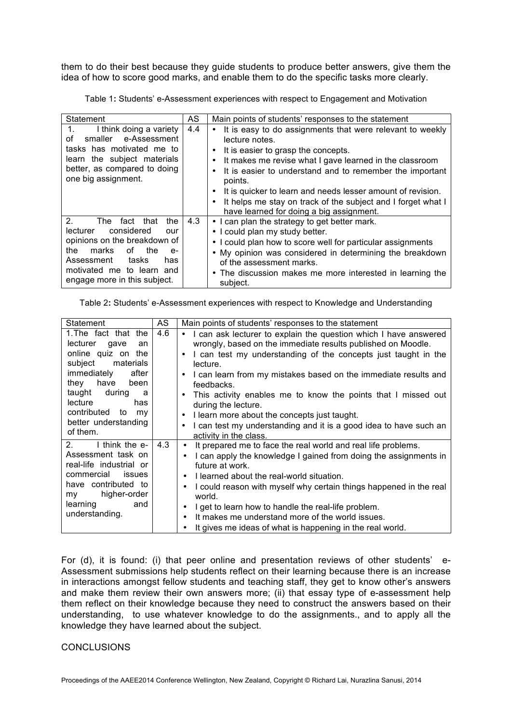them to do their best because they guide students to produce better answers, give them the idea of how to score good marks, and enable them to do the specific tasks more clearly.

Table 1**:** Students' e-Assessment experiences with respect to Engagement and Motivation

| Statement                                                                                                                                                                                                                                     | AS  | Main points of students' responses to the statement                                                                                                                                                                                                                                                                                                                                                                                                                   |
|-----------------------------------------------------------------------------------------------------------------------------------------------------------------------------------------------------------------------------------------------|-----|-----------------------------------------------------------------------------------------------------------------------------------------------------------------------------------------------------------------------------------------------------------------------------------------------------------------------------------------------------------------------------------------------------------------------------------------------------------------------|
| I think doing a variety<br>1.<br>smaller e-Assessment<br>Ωf<br>tasks has motivated me to<br>learn the subject materials<br>better, as compared to doing<br>one big assignment.                                                                | 4.4 | • It is easy to do assignments that were relevant to weekly<br>lecture notes.<br>It is easier to grasp the concepts.<br>$\bullet$<br>It makes me revise what I gave learned in the classroom<br>٠<br>It is easier to understand and to remember the important<br>٠<br>points.<br>It is quicker to learn and needs lesser amount of revision.<br>It helps me stay on track of the subject and I forget what I<br>$\bullet$<br>have learned for doing a big assignment. |
| 2 <sup>1</sup><br>The<br>fact<br>that<br>the<br>considered<br>lecturer<br>our<br>opinions on the breakdown of<br>marks<br>the<br>οf<br>the<br>$e-$<br>Assessment<br>tasks<br>has<br>motivated me to learn and<br>engage more in this subject. | 4.3 | • I can plan the strategy to get better mark.<br>• I could plan my study better.<br>• I could plan how to score well for particular assignments<br>• My opinion was considered in determining the breakdown<br>of the assessment marks.<br>• The discussion makes me more interested in learning the<br>subject.                                                                                                                                                      |

Table 2**:** Students' e-Assessment experiences with respect to Knowledge and Understanding

| Statement                                                                                                                                                                                                                                           | AS  | Main points of students' responses to the statement                                                                                                                                                                                                                                                                                                                                                                                                                                                                                                                                  |
|-----------------------------------------------------------------------------------------------------------------------------------------------------------------------------------------------------------------------------------------------------|-----|--------------------------------------------------------------------------------------------------------------------------------------------------------------------------------------------------------------------------------------------------------------------------------------------------------------------------------------------------------------------------------------------------------------------------------------------------------------------------------------------------------------------------------------------------------------------------------------|
| 1. The fact that the<br>lecturer<br>gave<br>an<br>online quiz on the<br>subject<br>materials<br>immediately<br>after<br>they<br>have<br>been<br>taught<br>during<br>a<br>lecture<br>has<br>contributed to<br>my<br>better understanding<br>of them. | 4.6 | I can ask lecturer to explain the question which I have answered<br>$\bullet$<br>wrongly, based on the immediate results published on Moodle.<br>I can test my understanding of the concepts just taught in the<br>٠<br>lecture.<br>I can learn from my mistakes based on the immediate results and<br>$\bullet$<br>feedbacks.<br>This activity enables me to know the points that I missed out<br>٠<br>during the lecture.<br>I learn more about the concepts just taught.<br>٠<br>I can test my understanding and it is a good idea to have such an<br>٠<br>activity in the class. |
| 2.<br>I think the e-<br>Assessment task on<br>real-life industrial or<br>commercial<br><i>issues</i><br>have contributed to<br>higher-order<br>my<br>and<br>learning<br>understanding.                                                              | 4.3 | It prepared me to face the real world and real life problems.<br>٠<br>I can apply the knowledge I gained from doing the assignments in<br>future at work.<br>I learned about the real-world situation.<br>$\bullet$<br>I could reason with myself why certain things happened in the real<br>٠<br>world.<br>I get to learn how to handle the real-life problem.<br>It makes me understand more of the world issues.<br>It gives me ideas of what is happening in the real world.                                                                                                     |

For (d), it is found: (i) that peer online and presentation reviews of other students' e-Assessment submissions help students reflect on their learning because there is an increase in interactions amongst fellow students and teaching staff, they get to know other's answers and make them review their own answers more; (ii) that essay type of e-assessment help them reflect on their knowledge because they need to construct the answers based on their understanding, to use whatever knowledge to do the assignments., and to apply all the knowledge they have learned about the subject.

## **CONCLUSIONS**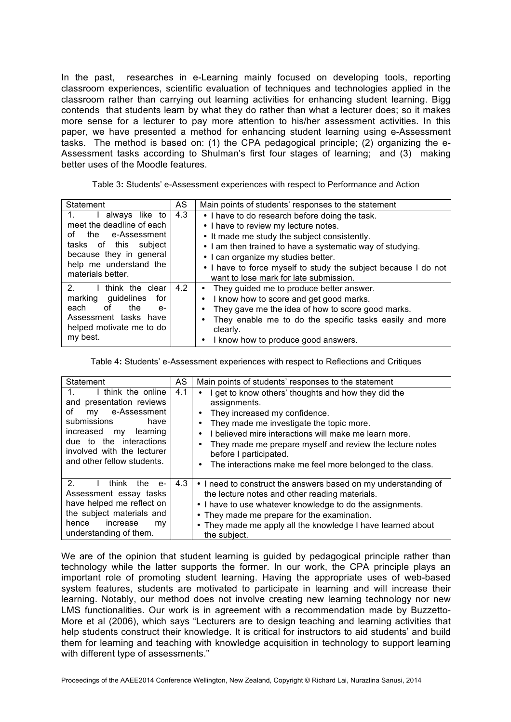In the past, researches in e-Learning mainly focused on developing tools, reporting classroom experiences, scientific evaluation of techniques and technologies applied in the classroom rather than carrying out learning activities for enhancing student learning. Bigg contends that students learn by what they do rather than what a lecturer does; so it makes more sense for a lecturer to pay more attention to his/her assessment activities. In this paper, we have presented a method for enhancing student learning using e-Assessment tasks. The method is based on: (1) the CPA pedagogical principle; (2) organizing the e-Assessment tasks according to Shulman's first four stages of learning; and (3) making better uses of the Moodle features.

Table 3**:** Students' e-Assessment experiences with respect to Performance and Action

| Statement                          | AS  | Main points of students' responses to the statement            |
|------------------------------------|-----|----------------------------------------------------------------|
| I always like to<br>1.             | 4.3 | • I have to do research before doing the task.                 |
| meet the deadline of each          |     | • I have to review my lecture notes.                           |
| the e-Assessment<br>Ωf             |     | • It made me study the subject consistently.                   |
| tasks of this subject              |     | • I am then trained to have a systematic way of studying.      |
| because they in general            |     | • I can organize my studies better.                            |
| help me understand the             |     | • I have to force myself to study the subject because I do not |
| materials better.                  |     | want to lose mark for late submission.                         |
| $\mathcal{P}$<br>I think the clear | 4.2 | They guided me to produce better answer.                       |
| marking guidelines<br>for          |     | I know how to score and get good marks.                        |
| each<br>the<br>0t<br>$e-$          |     | They gave me the idea of how to score good marks.              |
| Assessment tasks have              |     | They enable me to do the specific tasks easily and more        |
| helped motivate me to do           |     | clearly.                                                       |
| my best.                           |     | I know how to produce good answers.                            |

Table 4**:** Students' e-Assessment experiences with respect to Reflections and Critiques

| Statement                                                                                                                                                                                                                  | AS  | Main points of students' responses to the statement                                                                                                                                                                                                                                                                                                             |
|----------------------------------------------------------------------------------------------------------------------------------------------------------------------------------------------------------------------------|-----|-----------------------------------------------------------------------------------------------------------------------------------------------------------------------------------------------------------------------------------------------------------------------------------------------------------------------------------------------------------------|
| I think the online<br>presentation reviews<br>and<br>e-Assessment<br>οf<br>mv<br>submissions<br>have<br>increased<br>learning<br>my<br>due to the interactions<br>involved with the lecturer<br>and other fellow students. | 4.1 | get to know others' thoughts and how they did the<br>assignments.<br>They increased my confidence.<br>They made me investigate the topic more.<br>I believed mire interactions will make me learn more.<br>They made me prepare myself and review the lecture notes<br>before I participated.<br>The interactions make me feel more belonged to the class.<br>٠ |
| 2.<br>think<br>the<br>$e-$<br>Assessment essay tasks<br>have helped me reflect on<br>the subject materials and<br>increase<br>hence<br>my<br>understanding of them.                                                        | 4.3 | • I need to construct the answers based on my understanding of<br>the lecture notes and other reading materials.<br>• I have to use whatever knowledge to do the assignments.<br>• They made me prepare for the examination.<br>• They made me apply all the knowledge I have learned about<br>the subject.                                                     |

We are of the opinion that student learning is guided by pedagogical principle rather than technology while the latter supports the former. In our work, the CPA principle plays an important role of promoting student learning. Having the appropriate uses of web-based system features, students are motivated to participate in learning and will increase their learning. Notably, our method does not involve creating new learning technology nor new LMS functionalities. Our work is in agreement with a recommendation made by Buzzetto-More et al (2006), which says "Lecturers are to design teaching and learning activities that help students construct their knowledge. It is critical for instructors to aid students' and build them for learning and teaching with knowledge acquisition in technology to support learning with different type of assessments."